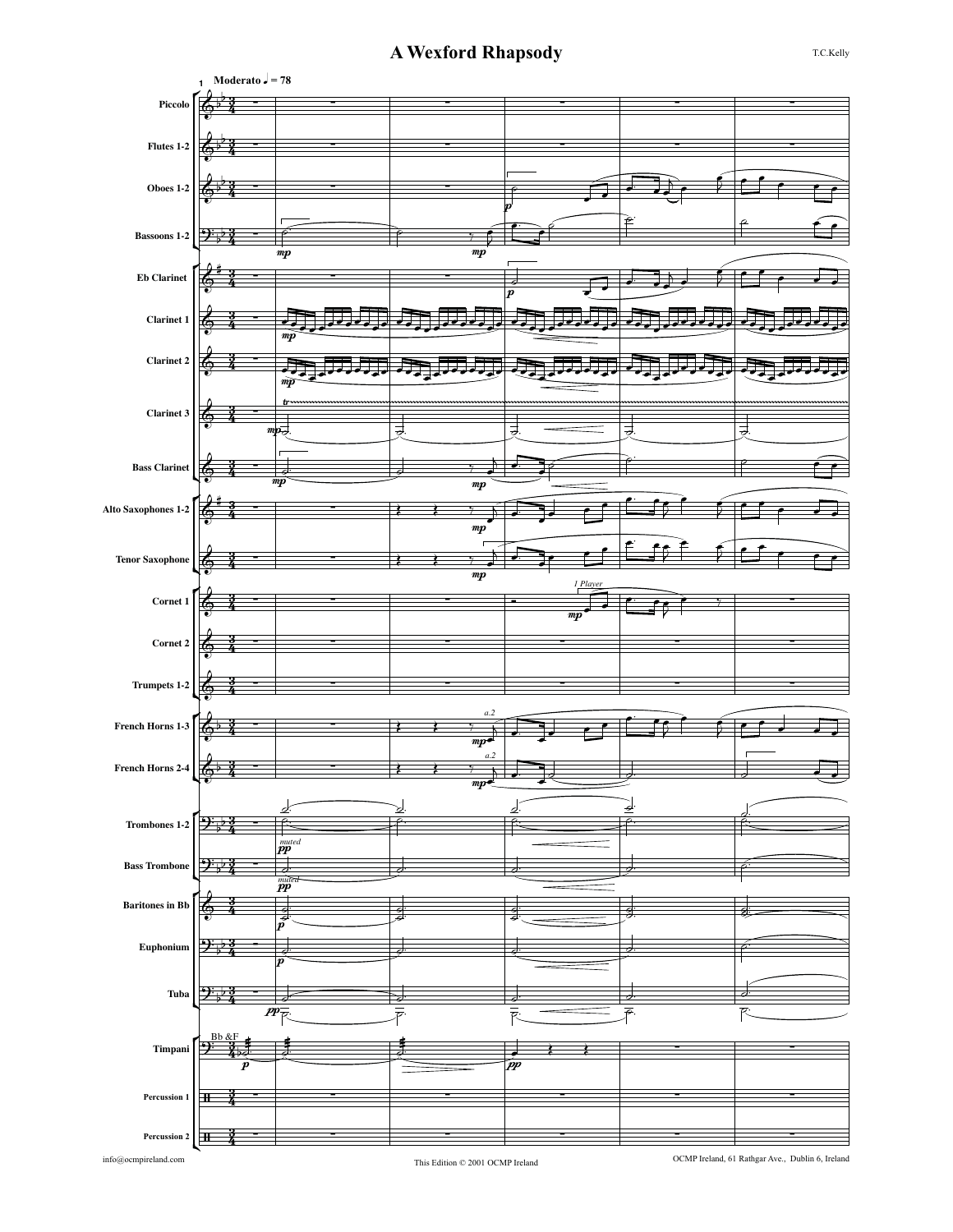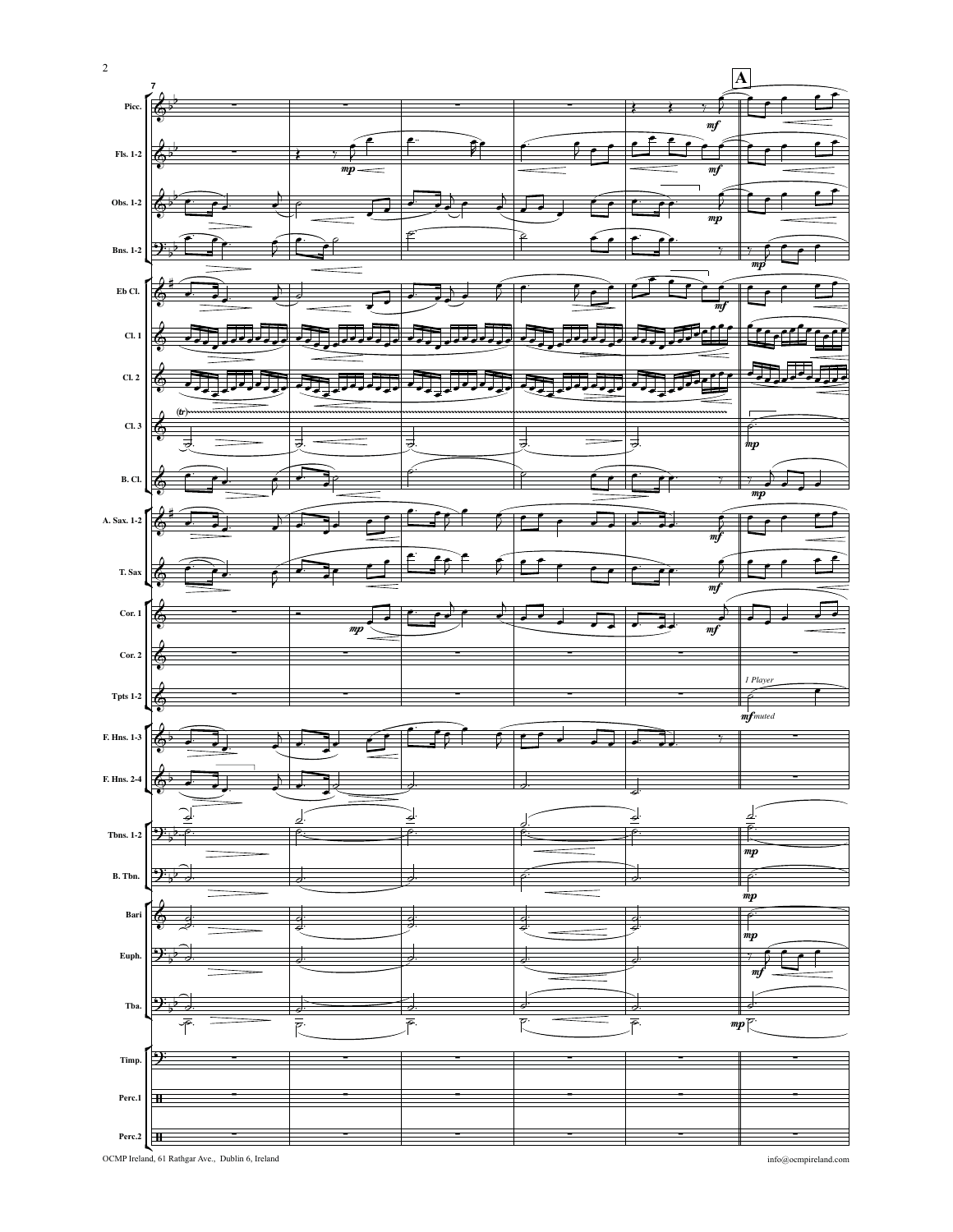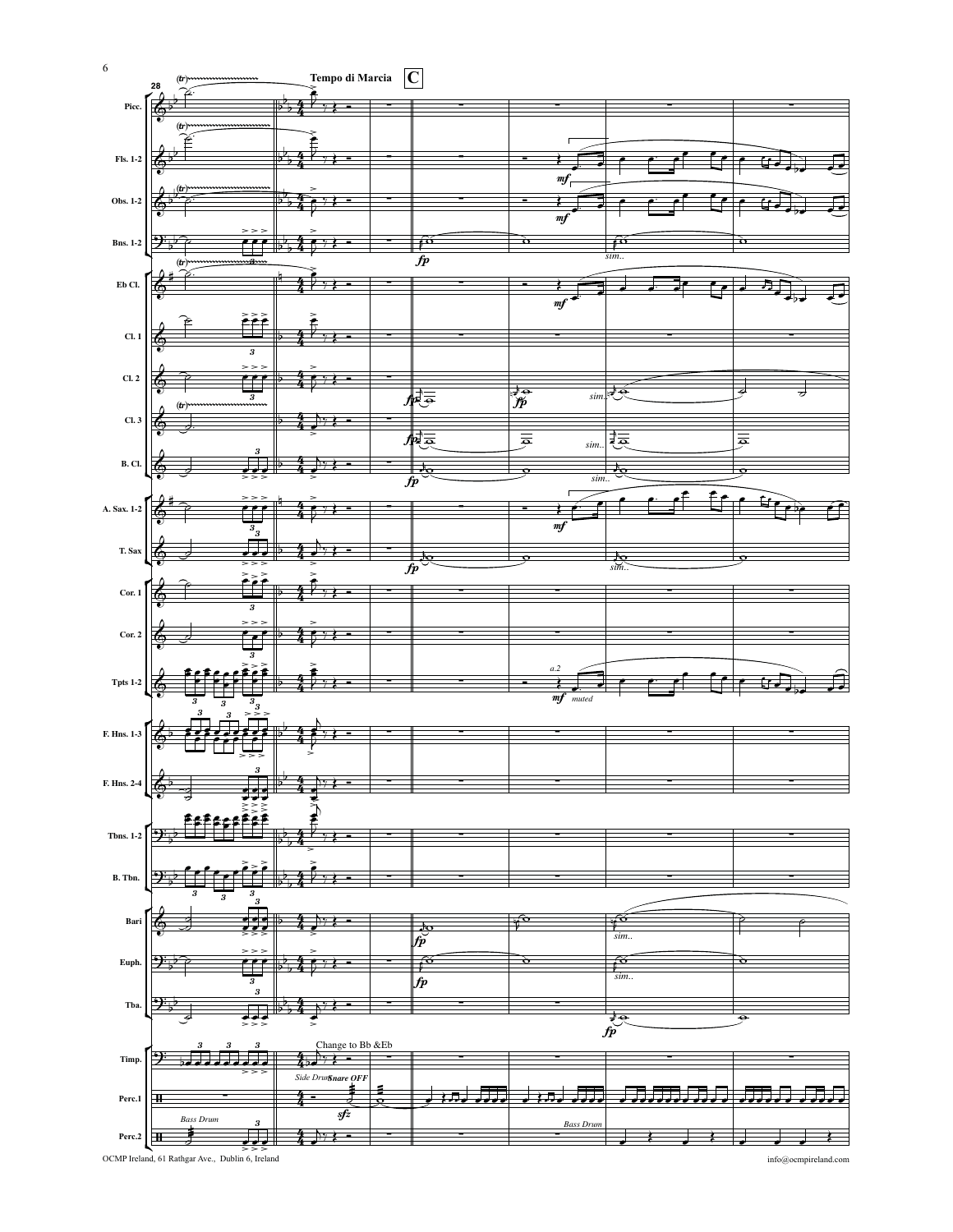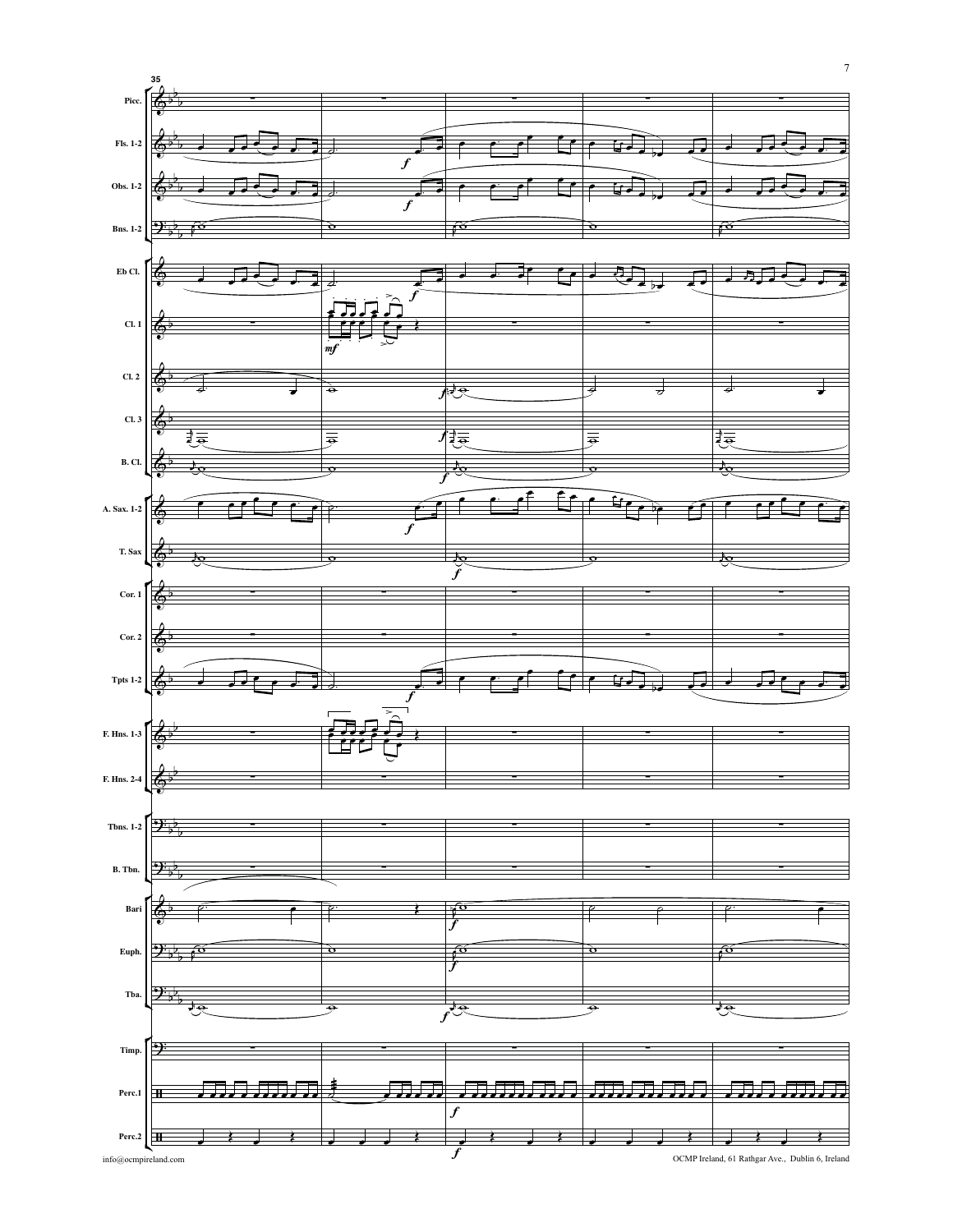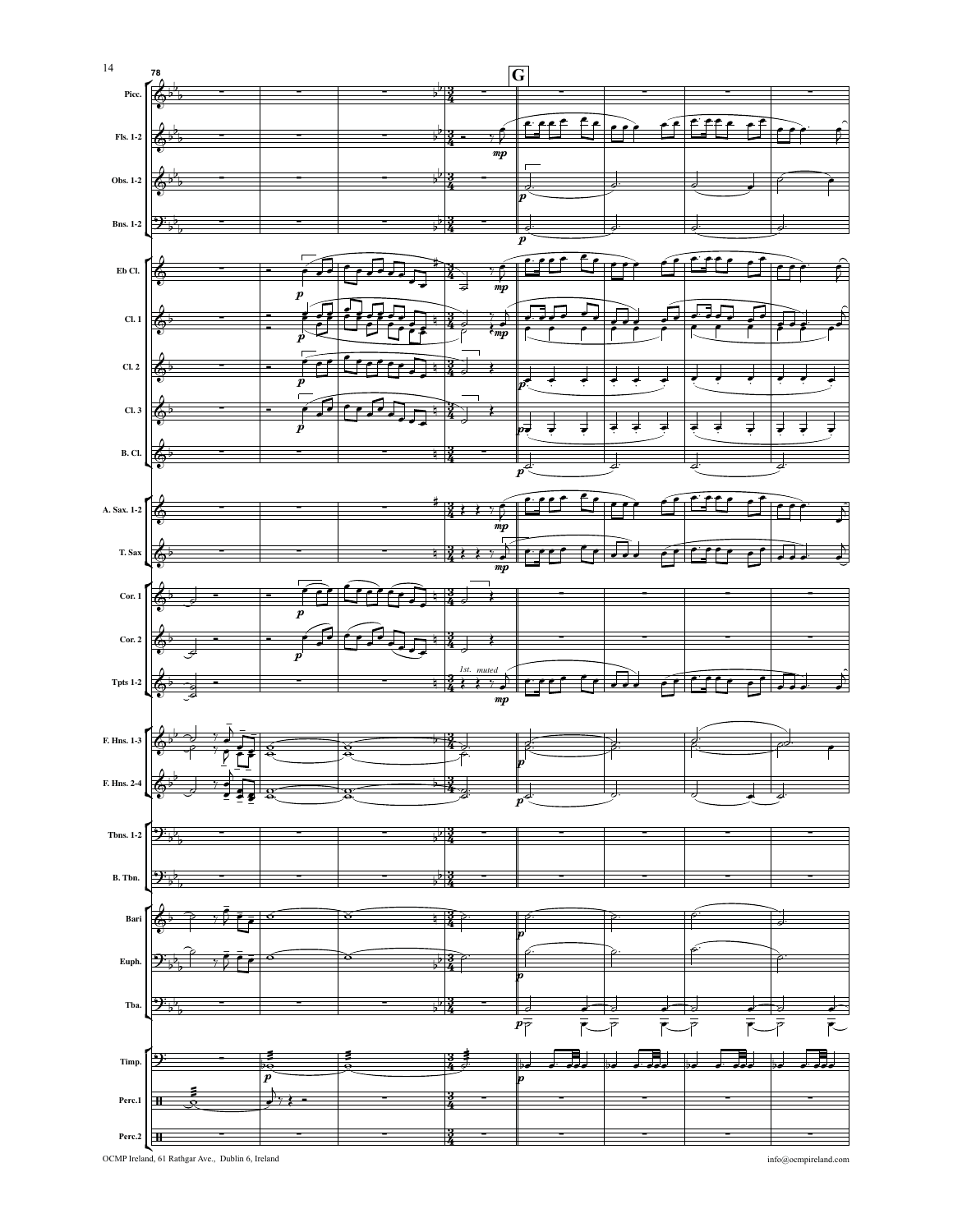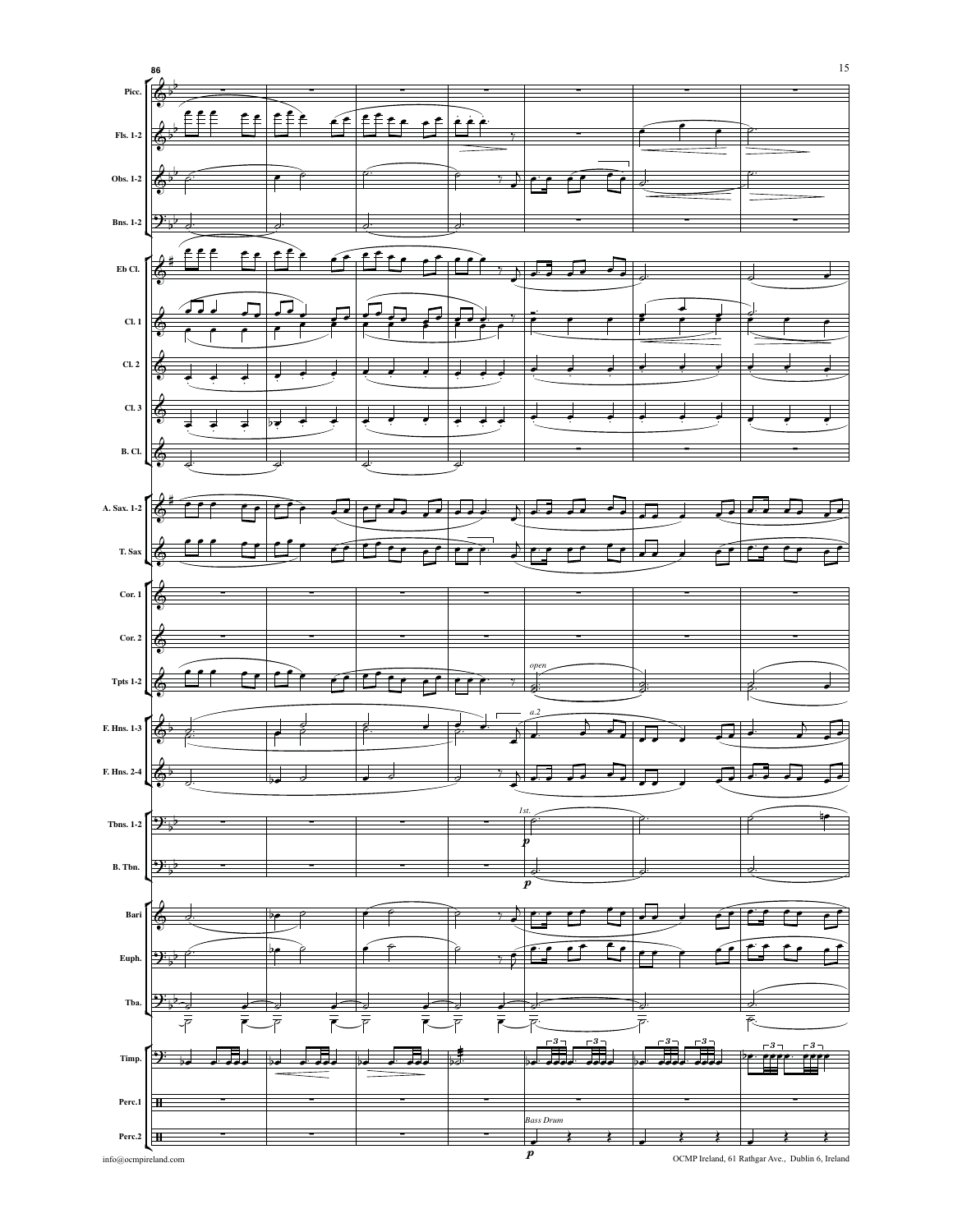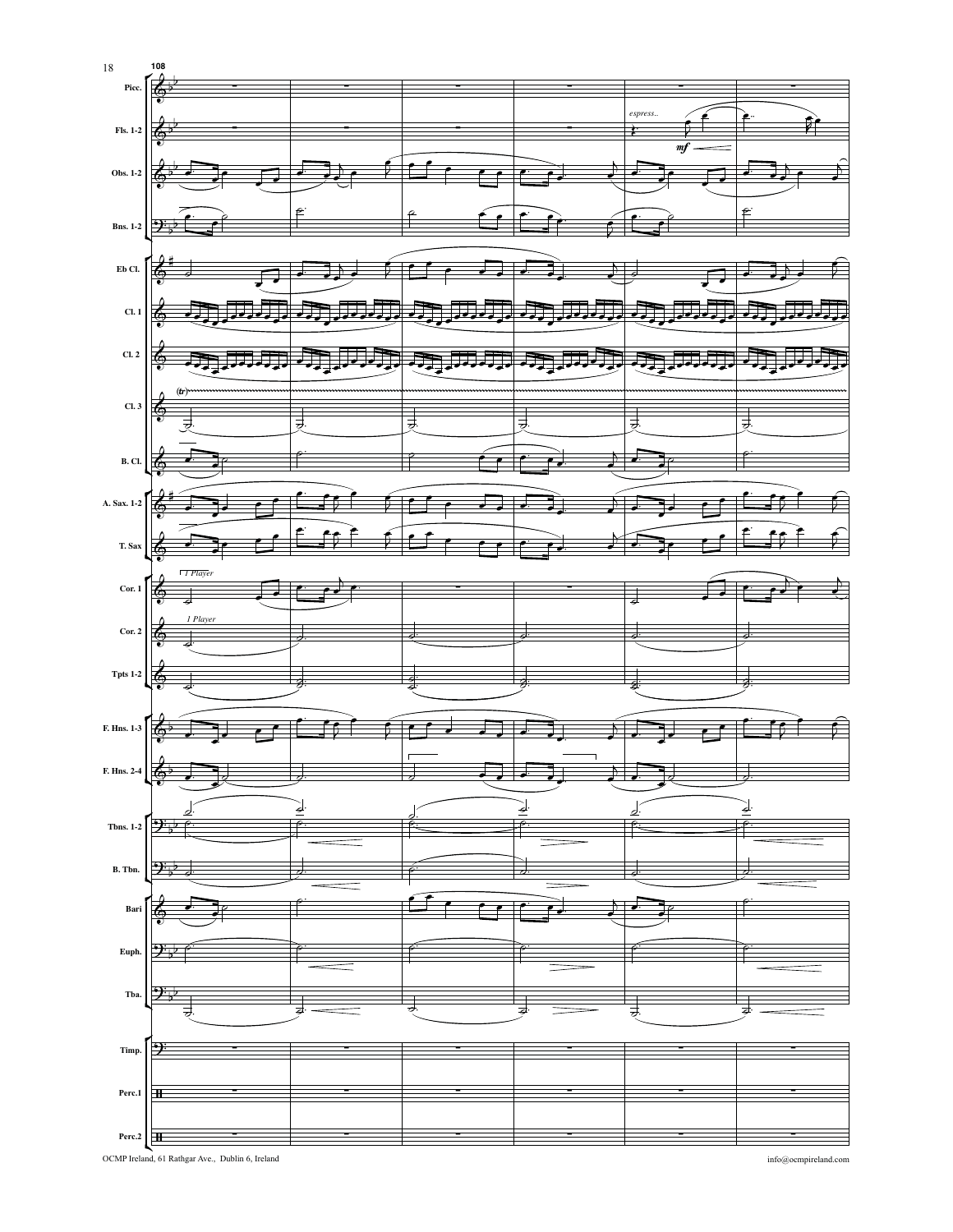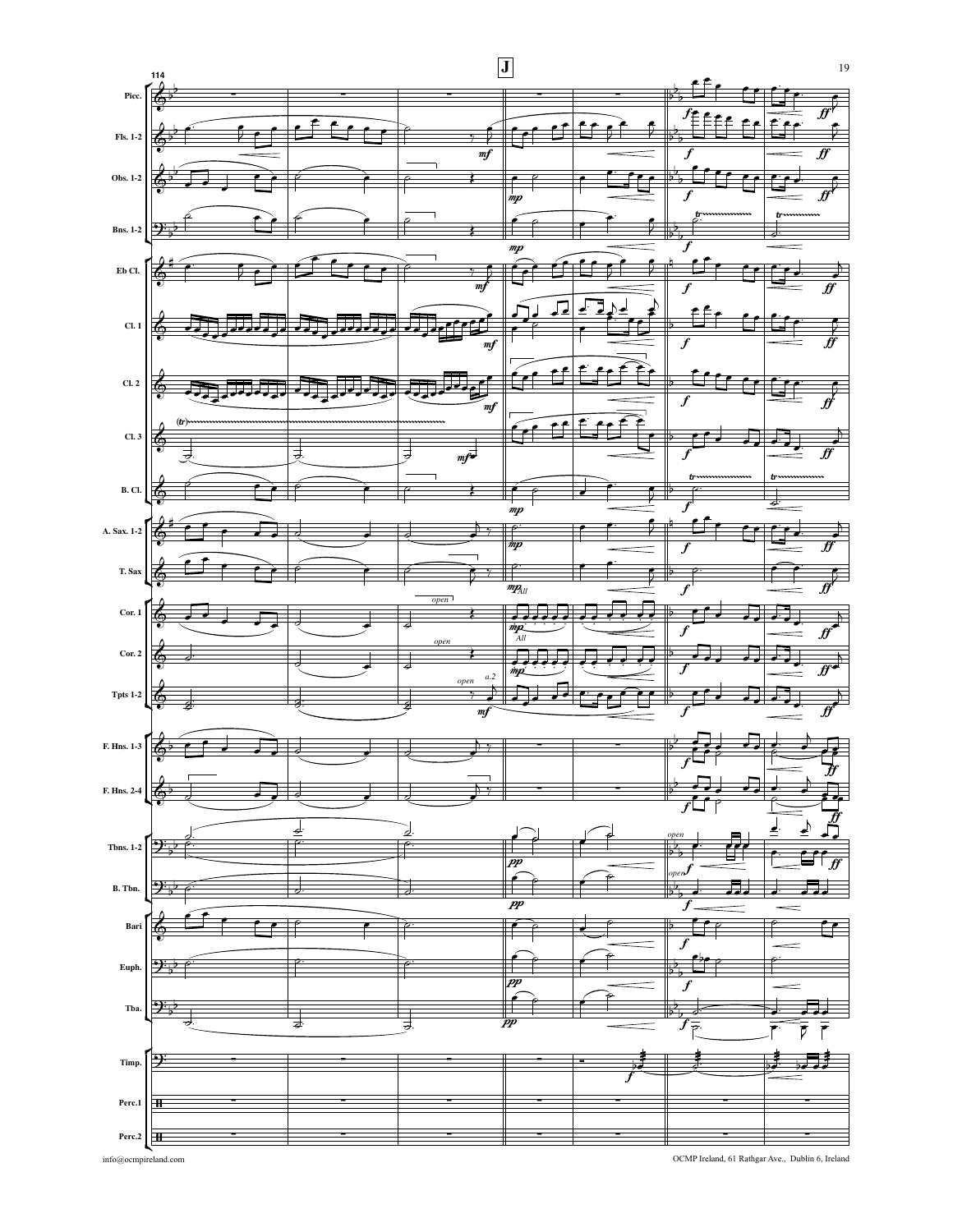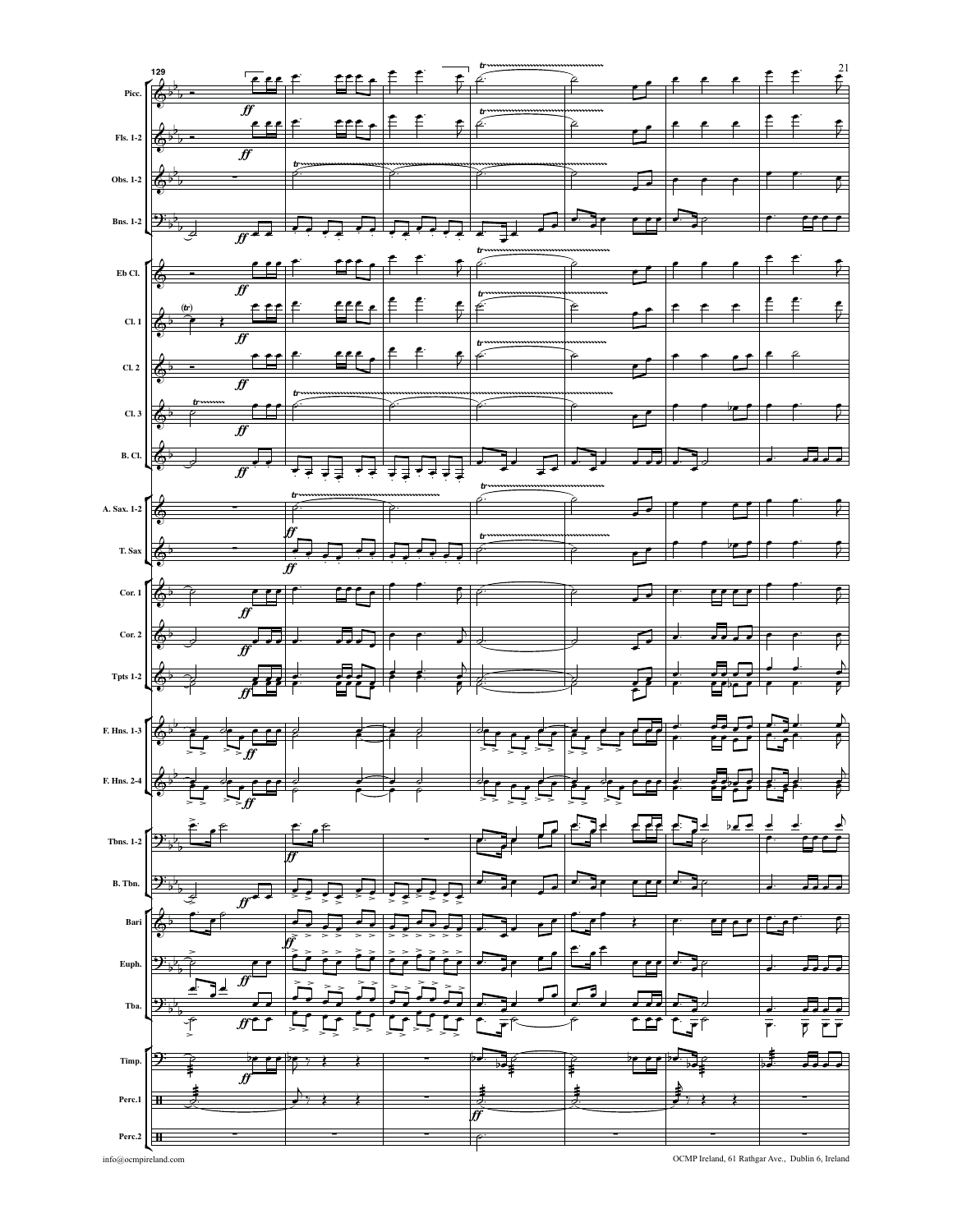

 $\mathop{\mathsf{info}}\nolimits @ \mathop{\mathsf{compireland.com}}$ 

OCMP Ireland, 61 Rathgar Ave., Dublin 6, Ireland